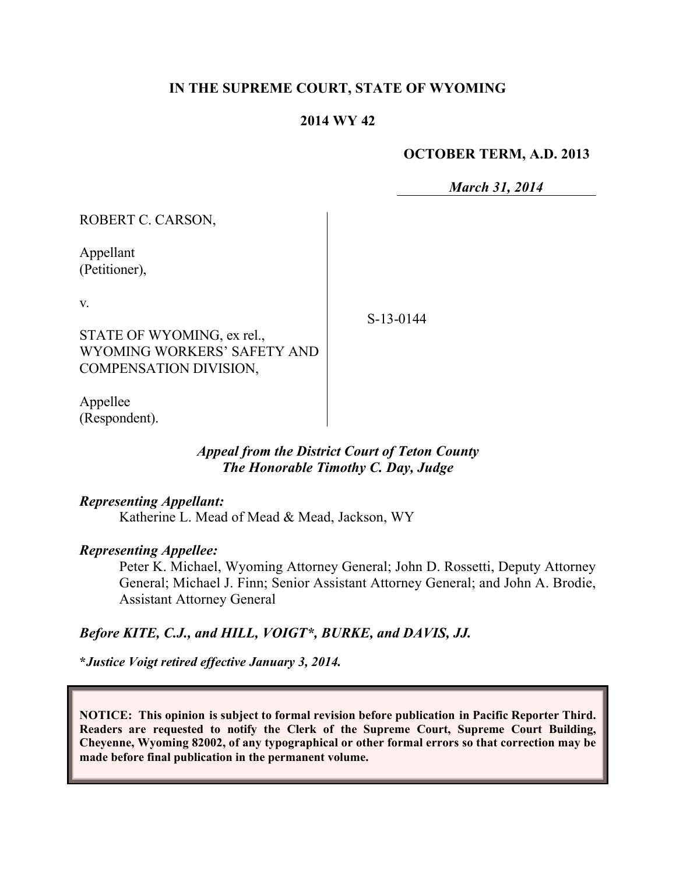## **IN THE SUPREME COURT, STATE OF WYOMING**

## **2014 WY 42**

#### **OCTOBER TERM, A.D. 2013**

*March 31, 2014*

| ROBERT C. CARSON,                                         |           |
|-----------------------------------------------------------|-----------|
| Appellant<br>(Petitioner),                                |           |
| V.                                                        | S-13-0144 |
| STATE OF WYOMING, ex rel.,<br>WYOMING WORKERS' SAFETY AND |           |
| COMPENSATION DIVISION,                                    |           |
| Appellee<br>(Respondent).                                 |           |

# *Appeal from the District Court of Teton County The Honorable Timothy C. Day, Judge*

#### *Representing Appellant:*

Katherine L. Mead of Mead & Mead, Jackson, WY

## *Representing Appellee:*

Peter K. Michael, Wyoming Attorney General; John D. Rossetti, Deputy Attorney General; Michael J. Finn; Senior Assistant Attorney General; and John A. Brodie, Assistant Attorney General

## *Before KITE, C.J., and HILL, VOIGT\*, BURKE, and DAVIS, JJ.*

**\****Justice Voigt retired effective January 3, 2014.*

**NOTICE: This opinion is subject to formal revision before publication in Pacific Reporter Third. Readers are requested to notify the Clerk of the Supreme Court, Supreme Court Building, Cheyenne, Wyoming 82002, of any typographical or other formal errors so that correction may be made before final publication in the permanent volume.**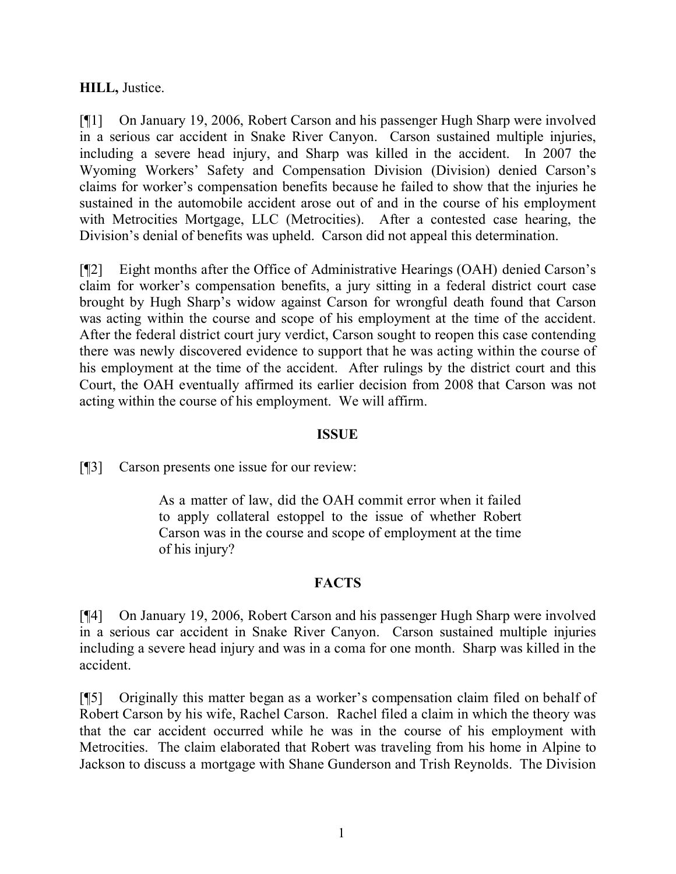## **HILL,** Justice.

[¶1] On January 19, 2006, Robert Carson and his passenger Hugh Sharp were involved in a serious car accident in Snake River Canyon. Carson sustained multiple injuries, including a severe head injury, and Sharp was killed in the accident. In 2007 the Wyoming Workers' Safety and Compensation Division (Division) denied Carson's claims for worker's compensation benefits because he failed to show that the injuries he sustained in the automobile accident arose out of and in the course of his employment with Metrocities Mortgage, LLC (Metrocities). After a contested case hearing, the Division's denial of benefits was upheld. Carson did not appeal this determination.

[¶2] Eight months after the Office of Administrative Hearings (OAH) denied Carson's claim for worker's compensation benefits, a jury sitting in a federal district court case brought by Hugh Sharp's widow against Carson for wrongful death found that Carson was acting within the course and scope of his employment at the time of the accident. After the federal district court jury verdict, Carson sought to reopen this case contending there was newly discovered evidence to support that he was acting within the course of his employment at the time of the accident. After rulings by the district court and this Court, the OAH eventually affirmed its earlier decision from 2008 that Carson was not acting within the course of his employment. We will affirm.

## **ISSUE**

[¶3] Carson presents one issue for our review:

As a matter of law, did the OAH commit error when it failed to apply collateral estoppel to the issue of whether Robert Carson was in the course and scope of employment at the time of his injury?

## **FACTS**

[¶4] On January 19, 2006, Robert Carson and his passenger Hugh Sharp were involved in a serious car accident in Snake River Canyon. Carson sustained multiple injuries including a severe head injury and was in a coma for one month. Sharp was killed in the accident.

[¶5] Originally this matter began as a worker's compensation claim filed on behalf of Robert Carson by his wife, Rachel Carson. Rachel filed a claim in which the theory was that the car accident occurred while he was in the course of his employment with Metrocities. The claim elaborated that Robert was traveling from his home in Alpine to Jackson to discuss a mortgage with Shane Gunderson and Trish Reynolds. The Division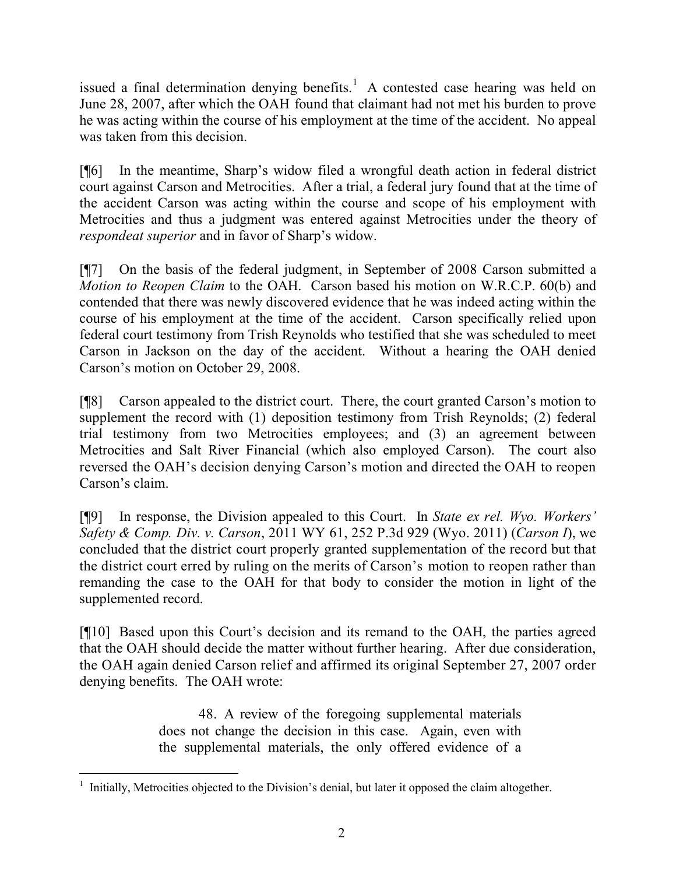issued a final determination denying benefits.<sup>1</sup> A contested case hearing was held on June 28, 2007, after which the OAH found that claimant had not met his burden to prove he was acting within the course of his employment at the time of the accident. No appeal was taken from this decision.

[¶6] In the meantime, Sharp's widow filed a wrongful death action in federal district court against Carson and Metrocities. After a trial, a federal jury found that at the time of the accident Carson was acting within the course and scope of his employment with Metrocities and thus a judgment was entered against Metrocities under the theory of *respondeat superior* and in favor of Sharp's widow.

[¶7] On the basis of the federal judgment, in September of 2008 Carson submitted a *Motion to Reopen Claim* to the OAH. Carson based his motion on W.R.C.P. 60(b) and contended that there was newly discovered evidence that he was indeed acting within the course of his employment at the time of the accident. Carson specifically relied upon federal court testimony from Trish Reynolds who testified that she was scheduled to meet Carson in Jackson on the day of the accident. Without a hearing the OAH denied Carson's motion on October 29, 2008.

[¶8] Carson appealed to the district court. There, the court granted Carson's motion to supplement the record with (1) deposition testimony from Trish Reynolds; (2) federal trial testimony from two Metrocities employees; and (3) an agreement between Metrocities and Salt River Financial (which also employed Carson). The court also reversed the OAH's decision denying Carson's motion and directed the OAH to reopen Carson's claim.

[¶9] In response, the Division appealed to this Court. In *State ex rel. Wyo. Workers' Safety & Comp. Div. v. Carson*, 2011 WY 61, 252 P.3d 929 (Wyo. 2011) (*Carson I*), we concluded that the district court properly granted supplementation of the record but that the district court erred by ruling on the merits of Carson's motion to reopen rather than remanding the case to the OAH for that body to consider the motion in light of the supplemented record.

[¶10] Based upon this Court's decision and its remand to the OAH, the parties agreed that the OAH should decide the matter without further hearing. After due consideration, the OAH again denied Carson relief and affirmed its original September 27, 2007 order denying benefits. The OAH wrote:

> 48. A review of the foregoing supplemental materials does not change the decision in this case. Again, even with the supplemental materials, the only offered evidence of a

 $\overline{a}$ <sup>1</sup> Initially, Metrocities objected to the Division's denial, but later it opposed the claim altogether.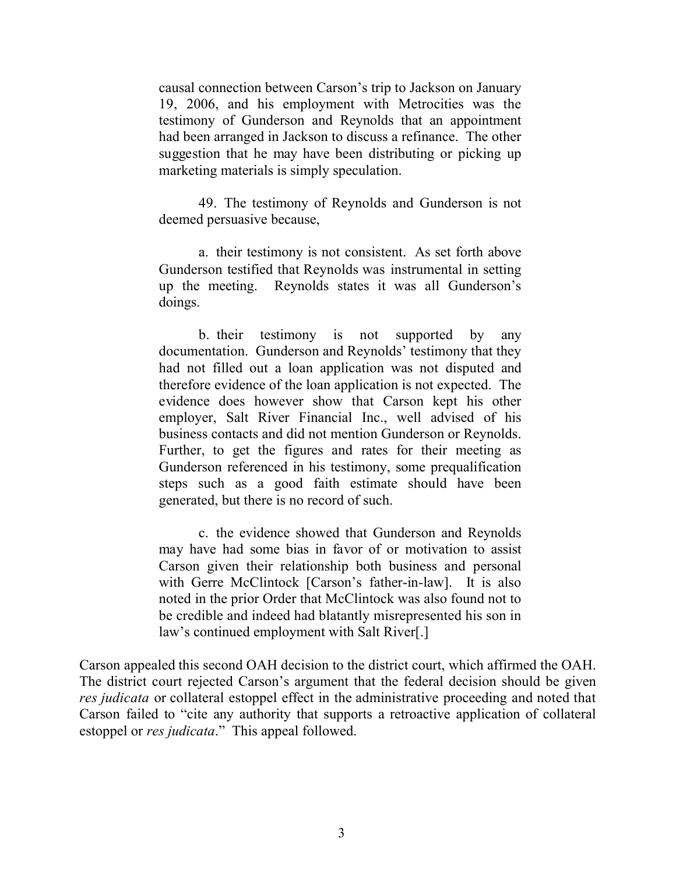causal connection between Carson's trip to Jackson on January 19, 2006, and his employment with Metrocities was the testimony of Gunderson and Reynolds that an appointment had been arranged in Jackson to discuss a refinance. The other suggestion that he may have been distributing or picking up marketing materials is simply speculation.

49. The testimony of Reynolds and Gunderson is not deemed persuasive because,

a. their testimony is not consistent. As set forth above Gunderson testified that Reynolds was instrumental in setting up the meeting. Reynolds states it was all Gunderson's doings.

b. their testimony is not supported by any documentation. Gunderson and Reynolds' testimony that they had not filled out a loan application was not disputed and therefore evidence of the loan application is not expected. The evidence does however show that Carson kept his other employer, Salt River Financial Inc., well advised of his business contacts and did not mention Gunderson or Reynolds. Further, to get the figures and rates for their meeting as Gunderson referenced in his testimony, some prequalification steps such as a good faith estimate should have been generated, but there is no record of such.

c. the evidence showed that Gunderson and Reynolds may have had some bias in favor of or motivation to assist Carson given their relationship both business and personal with Gerre McClintock [Carson's father-in-law]. It is also noted in the prior Order that McClintock was also found not to be credible and indeed had blatantly misrepresented his son in law's continued employment with Salt River[.]

Carson appealed this second OAH decision to the district court, which affirmed the OAH. The district court rejected Carson's argument that the federal decision should be given *res judicata* or collateral estoppel effect in the administrative proceeding and noted that Carson failed to "cite any authority that supports a retroactive application of collateral estoppel or *res judicata*." This appeal followed.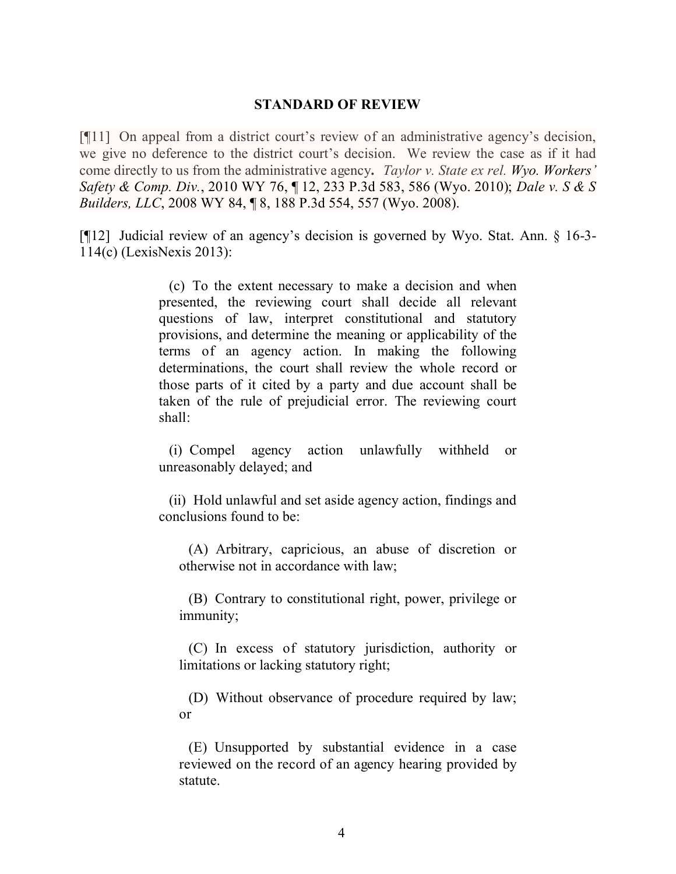#### **STANDARD OF REVIEW**

[¶11] On appeal from a district court's review of an administrative agency's decision, we give no deference to the district court's decision. We review the case as if it had come directly to us from the administrative agency**.** *Taylor v. State ex rel. Wyo. Workers' Safety & Comp. Div.*, 2010 WY 76, ¶ 12, 233 P.3d 583, 586 (Wyo. 2010); *Dale v. S & S Builders, LLC*, 2008 WY 84, ¶ 8, 188 P.3d 554, 557 (Wyo. 2008).

[¶12] Judicial review of an agency's decision is governed by Wyo. Stat. Ann. § 16-3- 114(c) (LexisNexis 2013):

> (c) To the extent necessary to make a decision and when presented, the reviewing court shall decide all relevant questions of law, interpret constitutional and statutory provisions, and determine the meaning or applicability of the terms of an agency action. In making the following determinations, the court shall review the whole record or those parts of it cited by a party and due account shall be taken of the rule of prejudicial error. The reviewing court shall:

> (i) Compel agency action unlawfully withheld or unreasonably delayed; and

> (ii) Hold unlawful and set aside agency action, findings and conclusions found to be:

(A) Arbitrary, capricious, an abuse of discretion or otherwise not in accordance with law;

(B) Contrary to constitutional right, power, privilege or immunity;

(C) In excess of statutory jurisdiction, authority or limitations or lacking statutory right;

(D) Without observance of procedure required by law; or

(E) Unsupported by substantial evidence in a case reviewed on the record of an agency hearing provided by statute.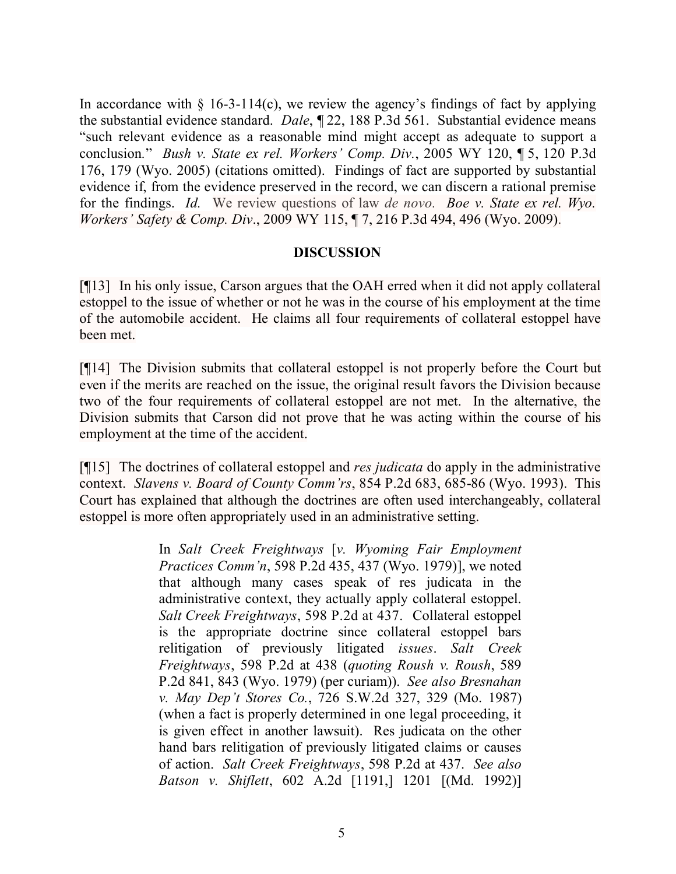In accordance with  $\S$  16-3-114(c), we review the agency's findings of fact by applying the substantial evidence standard. *Dale*, ¶ 22, 188 P.3d 561. Substantial evidence means "such relevant evidence as a reasonable mind might accept as adequate to support a conclusion*.*" *Bush v. State ex rel. Workers' Comp. Div.*, 2005 WY 120, ¶ 5, 120 P.3d 176, 179 (Wyo. 2005) (citations omitted). Findings of fact are supported by substantial evidence if, from the evidence preserved in the record, we can discern a rational premise for the findings. *Id.* We review questions of law *de novo. Boe v. State ex rel. Wyo. Workers' Safety & Comp. Div*., 2009 WY 115, ¶ 7, 216 P.3d 494, 496 (Wyo. 2009).

## **DISCUSSION**

[¶13] In his only issue, Carson argues that the OAH erred when it did not apply collateral estoppel to the issue of whether or not he was in the course of his employment at the time of the automobile accident. He claims all four requirements of collateral estoppel have been met.

[¶14] The Division submits that collateral estoppel is not properly before the Court but even if the merits are reached on the issue, the original result favors the Division because two of the four requirements of collateral estoppel are not met. In the alternative, the Division submits that Carson did not prove that he was acting within the course of his employment at the time of the accident.

[¶15] The doctrines of collateral estoppel and *res judicata* do apply in the administrative context. *Slavens v. Board of County Comm'rs*, 854 P.2d 683, 685-86 (Wyo. 1993). This Court has explained that although the doctrines are often used interchangeably, collateral estoppel is more often appropriately used in an administrative setting.

> In *Salt Creek Freightways* [*v. Wyoming Fair Employment Practices Comm'n*, 598 P.2d 435, 437 (Wyo. 1979)], we noted that although many cases speak of res judicata in the administrative context, they actually apply collateral estoppel. *Salt Creek Freightways*, 598 P.2d at 437. Collateral estoppel is the appropriate doctrine since collateral estoppel bars relitigation of previously litigated *issues*. *Salt Creek Freightways*, 598 P.2d at 438 (*quoting Roush v. Roush*, 589 P.2d 841, 843 (Wyo. 1979) (per curiam)). *See also Bresnahan v. May Dep't Stores Co.*, 726 S.W.2d 327, 329 (Mo. 1987) (when a fact is properly determined in one legal proceeding, it is given effect in another lawsuit). Res judicata on the other hand bars relitigation of previously litigated claims or causes of action. *Salt Creek Freightways*, 598 P.2d at 437. *See also Batson v. Shiflett*, 602 A.2d [1191,] 1201 [(Md. 1992)]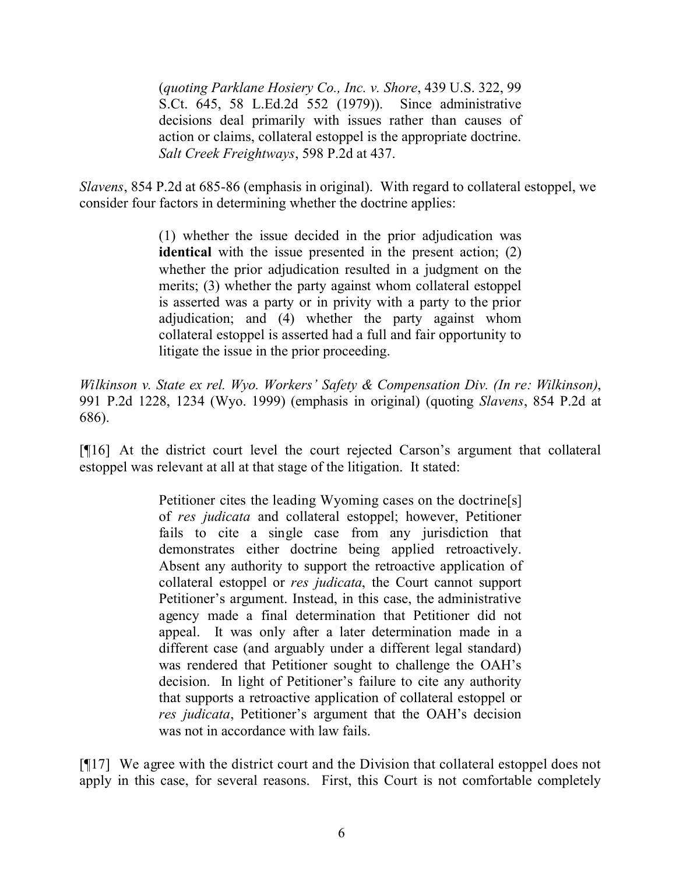(*quoting Parklane Hosiery Co., Inc. v. Shore*, 439 U.S. 322, 99 S.Ct. 645, 58 L.Ed.2d 552 (1979)). Since administrative decisions deal primarily with issues rather than causes of action or claims, collateral estoppel is the appropriate doctrine. *Salt Creek Freightways*, 598 P.2d at 437.

*Slavens*, 854 P.2d at 685-86 (emphasis in original). With regard to collateral estoppel, we consider four factors in determining whether the doctrine applies:

> (1) whether the issue decided in the prior adjudication was **identical** with the issue presented in the present action; (2) whether the prior adjudication resulted in a judgment on the merits; (3) whether the party against whom collateral estoppel is asserted was a party or in privity with a party to the prior adjudication; and (4) whether the party against whom collateral estoppel is asserted had a full and fair opportunity to litigate the issue in the prior proceeding.

*Wilkinson v. State ex rel. Wyo. Workers' Safety & Compensation Div. (In re: Wilkinson)*, 991 P.2d 1228, 1234 (Wyo. 1999) (emphasis in original) (quoting *Slavens*, 854 P.2d at 686).

[¶16] At the district court level the court rejected Carson's argument that collateral estoppel was relevant at all at that stage of the litigation. It stated:

> Petitioner cites the leading Wyoming cases on the doctrine[s] of *res judicata* and collateral estoppel; however, Petitioner fails to cite a single case from any jurisdiction that demonstrates either doctrine being applied retroactively. Absent any authority to support the retroactive application of collateral estoppel or *res judicata*, the Court cannot support Petitioner's argument. Instead, in this case, the administrative agency made a final determination that Petitioner did not appeal. It was only after a later determination made in a different case (and arguably under a different legal standard) was rendered that Petitioner sought to challenge the OAH's decision. In light of Petitioner's failure to cite any authority that supports a retroactive application of collateral estoppel or *res judicata*, Petitioner's argument that the OAH's decision was not in accordance with law fails.

[¶17] We agree with the district court and the Division that collateral estoppel does not apply in this case, for several reasons. First, this Court is not comfortable completely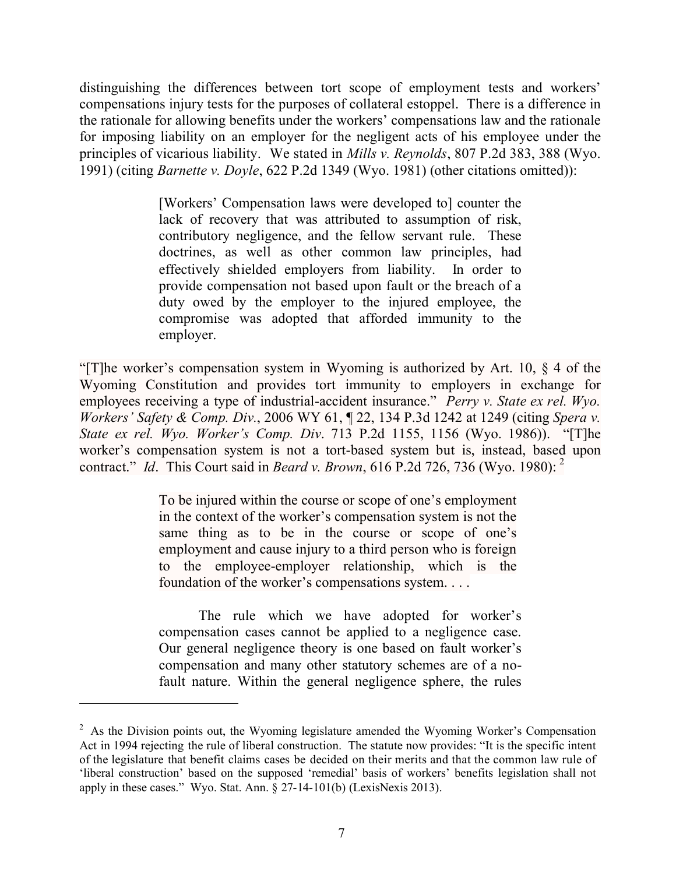distinguishing the differences between tort scope of employment tests and workers' compensations injury tests for the purposes of collateral estoppel. There is a difference in the rationale for allowing benefits under the workers' compensations law and the rationale for imposing liability on an employer for the negligent acts of his employee under the principles of vicarious liability. We stated in *Mills v. Reynolds*, 807 P.2d 383, 388 (Wyo. 1991) (citing *Barnette v. Doyle*, 622 P.2d 1349 (Wyo. 1981) (other citations omitted)):

> [Workers' Compensation laws were developed to] counter the lack of recovery that was attributed to assumption of risk, contributory negligence, and the fellow servant rule. These doctrines, as well as other common law principles, had effectively shielded employers from liability. In order to provide compensation not based upon fault or the breach of a duty owed by the employer to the injured employee, the compromise was adopted that afforded immunity to the employer.

"[T]he worker's compensation system in Wyoming is authorized by Art. 10, § 4 of the Wyoming Constitution and provides tort immunity to employers in exchange for employees receiving a type of industrial-accident insurance." *Perry v. State ex rel. Wyo. Workers' Safety & Comp. Div.*, 2006 WY 61, ¶ 22, 134 P.3d 1242 at 1249 (citing *Spera v. State ex rel. Wyo. Worker's Comp. Div*. 713 P.2d 1155, 1156 (Wyo. 1986)). "[T]he worker's compensation system is not a tort-based system but is, instead, based upon contract." *Id*. This Court said in *Beard v. Brown*, 616 P.2d 726, 736 (Wyo. 1980): 2

> To be injured within the course or scope of one's employment in the context of the worker's compensation system is not the same thing as to be in the course or scope of one's employment and cause injury to a third person who is foreign to the employee-employer relationship, which is the foundation of the worker's compensations system. . . .

The rule which we have adopted for worker's compensation cases cannot be applied to a negligence case. Our general negligence theory is one based on fault worker's compensation and many other statutory schemes are of a nofault nature. Within the general negligence sphere, the rules

 $\overline{a}$ 

 $2^2$  As the Division points out, the Wyoming legislature amended the Wyoming Worker's Compensation Act in 1994 rejecting the rule of liberal construction. The statute now provides: "It is the specific intent of the legislature that benefit claims cases be decided on their merits and that the common law rule of 'liberal construction' based on the supposed 'remedial' basis of workers' benefits legislation shall not apply in these cases." Wyo. Stat. Ann. § 27-14-101(b) (LexisNexis 2013).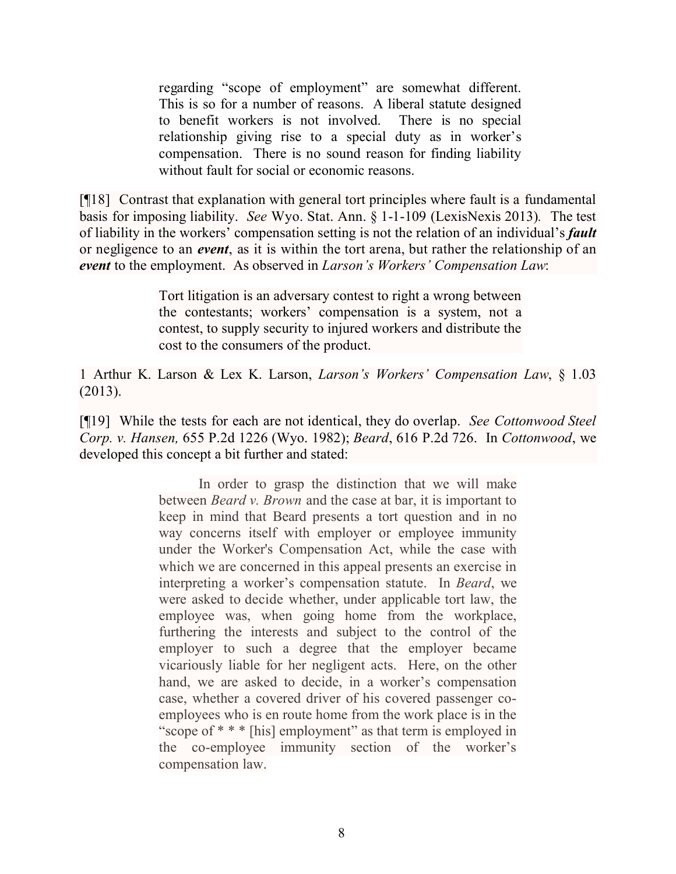regarding "scope of employment" are somewhat different. This is so for a number of reasons. A liberal statute designed to benefit workers is not involved. There is no special relationship giving rise to a special duty as in worker's compensation. There is no sound reason for finding liability without fault for social or economic reasons.

[¶18] Contrast that explanation with general tort principles where fault is a fundamental basis for imposing liability. *See* Wyo. Stat. Ann. § 1-1-109 (LexisNexis 2013)*.* The test of liability in the workers' compensation setting is not the relation of an individual's *fault* or negligence to an *event*, as it is within the tort arena, but rather the relationship of an *event* to the employment. As observed in *Larson's Workers' Compensation Law*:

> Tort litigation is an adversary contest to right a wrong between the contestants; workers' compensation is a system, not a contest, to supply security to injured workers and distribute the cost to the consumers of the product.

1 Arthur K. Larson & Lex K. Larson, *Larson's Workers' Compensation Law*, § 1.03 (2013).

[¶19] While the tests for each are not identical, they do overlap. *See Cottonwood Steel Corp. v. Hansen,* 655 P.2d 1226 (Wyo. 1982); *Beard*, 616 P.2d 726. In *Cottonwood*, we developed this concept a bit further and stated:

> In order to grasp the distinction that we will make between *Beard v. Brown* and the case at bar, it is important to keep in mind that Beard presents a tort question and in no way concerns itself with employer or employee immunity under the Worker's Compensation Act, while the case with which we are concerned in this appeal presents an exercise in interpreting a worker's compensation statute. In *Beard*, we were asked to decide whether, under applicable tort law, the employee was, when going home from the workplace, furthering the interests and subject to the control of the employer to such a degree that the employer became vicariously liable for her negligent acts. Here, on the other hand, we are asked to decide, in a worker's compensation case, whether a covered driver of his covered passenger coemployees who is en route home from the work place is in the "scope of \* \* \* [his] employment" as that term is employed in the co-employee immunity section of the worker's compensation law.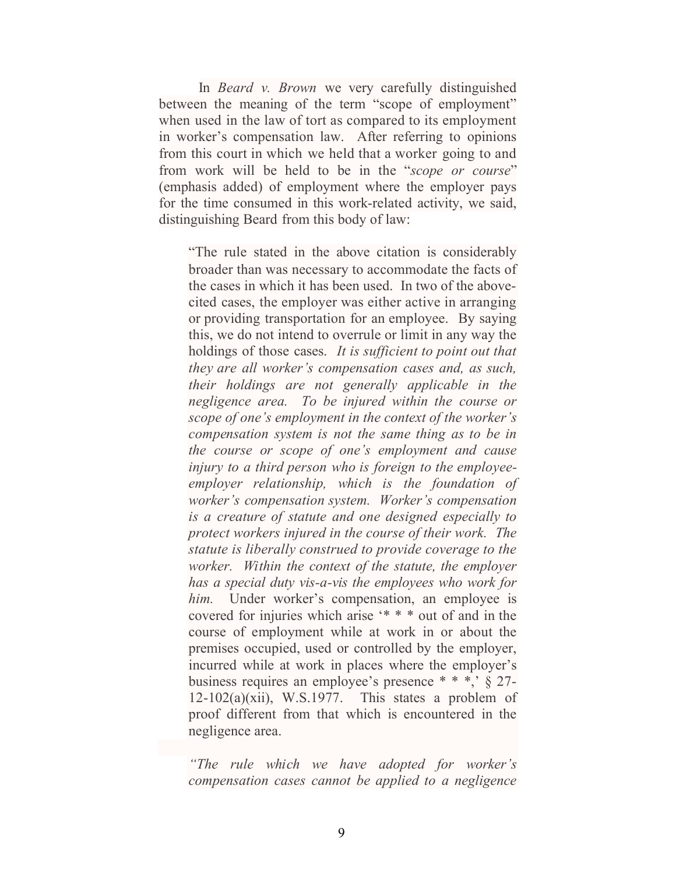In *Beard v. Brown* we very carefully distinguished between the meaning of the term "scope of employment" when used in the law of tort as compared to its employment in worker's compensation law. After referring to opinions from this court in which we held that a worker going to and from work will be held to be in the "*scope or course*" (emphasis added) of employment where the employer pays for the time consumed in this work-related activity, we said, distinguishing Beard from this body of law:

"The rule stated in the above citation is considerably broader than was necessary to accommodate the facts of the cases in which it has been used. In two of the abovecited cases, the employer was either active in arranging or providing transportation for an employee. By saying this, we do not intend to overrule or limit in any way the holdings of those cases. *It is sufficient to point out that they are all worker's compensation cases and, as such, their holdings are not generally applicable in the negligence area. To be injured within the course or scope of one's employment in the context of the worker's compensation system is not the same thing as to be in the course or scope of one's employment and cause injury to a third person who is foreign to the employeeemployer relationship, which is the foundation of worker's compensation system. Worker's compensation is a creature of statute and one designed especially to protect workers injured in the course of their work. The statute is liberally construed to provide coverage to the worker. Within the context of the statute, the employer has a special duty vis-a-vis the employees who work for*  him. Under worker's compensation, an employee is covered for injuries which arise '\* \* \* out of and in the course of employment while at work in or about the premises occupied, used or controlled by the employer, incurred while at work in places where the employer's business requires an employee's presence \* \* \*,' § 27-  $12-102(a)(xii)$ , W.S.1977. This states a problem of proof different from that which is encountered in the negligence area.

*"The rule which we have adopted for worker's compensation cases cannot be applied to a negligence*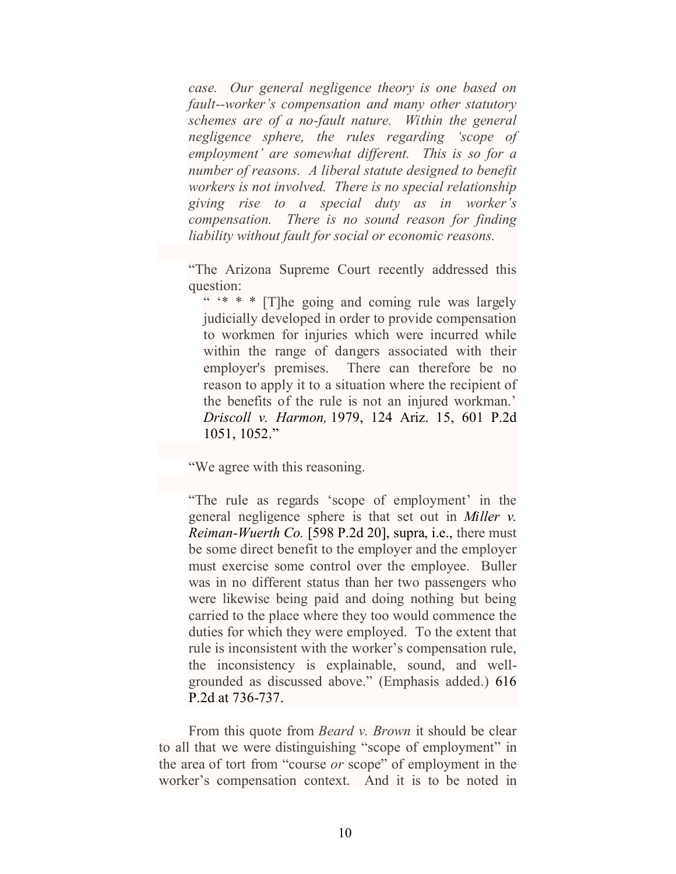*case. Our general negligence theory is one based on fault--worker's compensation and many other statutory schemes are of a no-fault nature. Within the general negligence sphere, the rules regarding 'scope of employment' are somewhat different. This is so for a number of reasons. A liberal statute designed to benefit workers is not involved. There is no special relationship giving rise to a special duty as in worker's compensation. There is no sound reason for finding liability without fault for social or economic reasons.*

"The Arizona Supreme Court recently addressed this question:

" '\* \* \* [T]he going and coming rule was largely judicially developed in order to provide compensation to workmen for injuries which were incurred while within the range of dangers associated with their employer's premises. There can therefore be no reason to apply it to a situation where the recipient of the benefits of the rule is not an injured workman.' *Driscoll v. Harmon,* 1979, 124 Ariz. 15, 601 P.2d 1051, 1052."

"We agree with this reasoning.

"The rule as regards 'scope of employment' in the general negligence sphere is that set out in *Miller v. Reiman-Wuerth Co.* [598 P.2d 20], supra, i.e., there must be some direct benefit to the employer and the employer must exercise some control over the employee. Buller was in no different status than her two passengers who were likewise being paid and doing nothing but being carried to the place where they too would commence the duties for which they were employed. To the extent that rule is inconsistent with the worker's compensation rule, the inconsistency is explainable, sound, and wellgrounded as discussed above." (Emphasis added.) 616 P.2d at 736-737.

From this quote from *Beard v. Brown* it should be clear to all that we were distinguishing "scope of employment" in the area of tort from "course *or* scope" of employment in the worker's compensation context. And it is to be noted in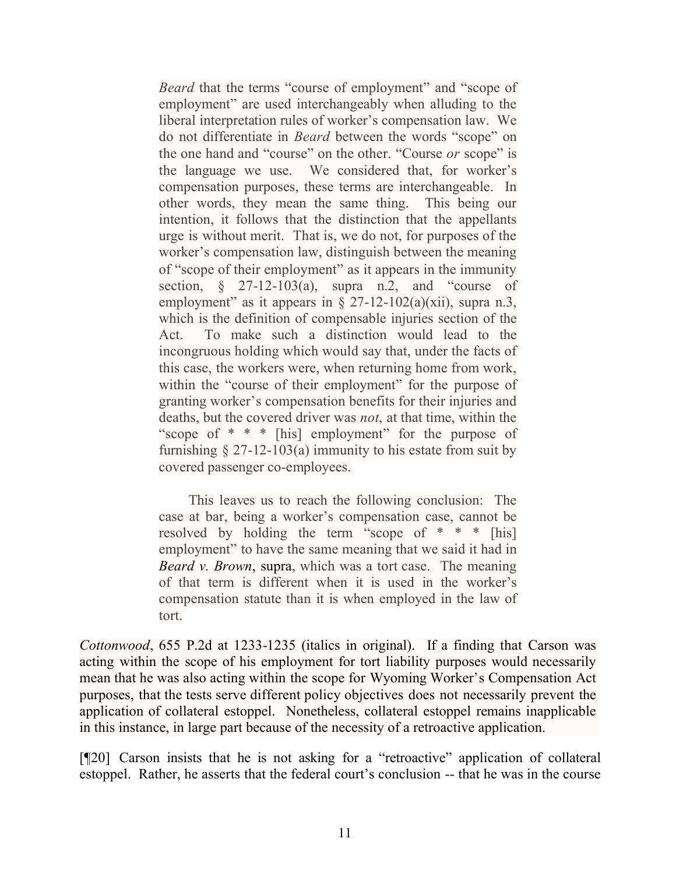*Beard* that the terms "course of employment" and "scope of employment" are used interchangeably when alluding to the liberal interpretation rules of worker's compensation law. We do not differentiate in *Beard* between the words "scope" on the one hand and "course" on the other. "Course *or* scope" is the language we use. We considered that, for worker's compensation purposes, these terms are interchangeable. In other words, they mean the same thing. This being our intention, it follows that the distinction that the appellants urge is without merit. That is, we do not, for purposes of the worker's compensation law, distinguish between the meaning of "scope of their employment" as it appears in the immunity section,  $\frac{1}{2}$  27-12-103(a), supra n.2, and "course of employment" as it appears in  $\S$  27-12-102(a)(xii), supra n.3, which is the definition of compensable injuries section of the Act. To make such a distinction would lead to the incongruous holding which would say that, under the facts of this case, the workers were, when returning home from work, within the "course of their employment" for the purpose of granting worker's compensation benefits for their injuries and deaths, but the covered driver was *not*, at that time, within the "scope of  $* * *$  [his] employment" for the purpose of furnishing  $\S 27-12-103(a)$  immunity to his estate from suit by covered passenger co-employees.

This leaves us to reach the following conclusion: The case at bar, being a worker's compensation case, cannot be resolved by holding the term "scope of  $* * *$  [his] employment" to have the same meaning that we said it had in *Beard v. Brown*, supra, which was a tort case. The meaning of that term is different when it is used in the worker's compensation statute than it is when employed in the law of tort.

*Cottonwood*, 655 P.2d at 1233-1235 (italics in original). If a finding that Carson was acting within the scope of his employment for tort liability purposes would necessarily mean that he was also acting within the scope for Wyoming Worker's Compensation Act purposes, that the tests serve different policy objectives does not necessarily prevent the application of collateral estoppel. Nonetheless, collateral estoppel remains inapplicable in this instance, in large part because of the necessity of a retroactive application.

[¶20] Carson insists that he is not asking for a "retroactive" application of collateral estoppel. Rather, he asserts that the federal court's conclusion -- that he was in the course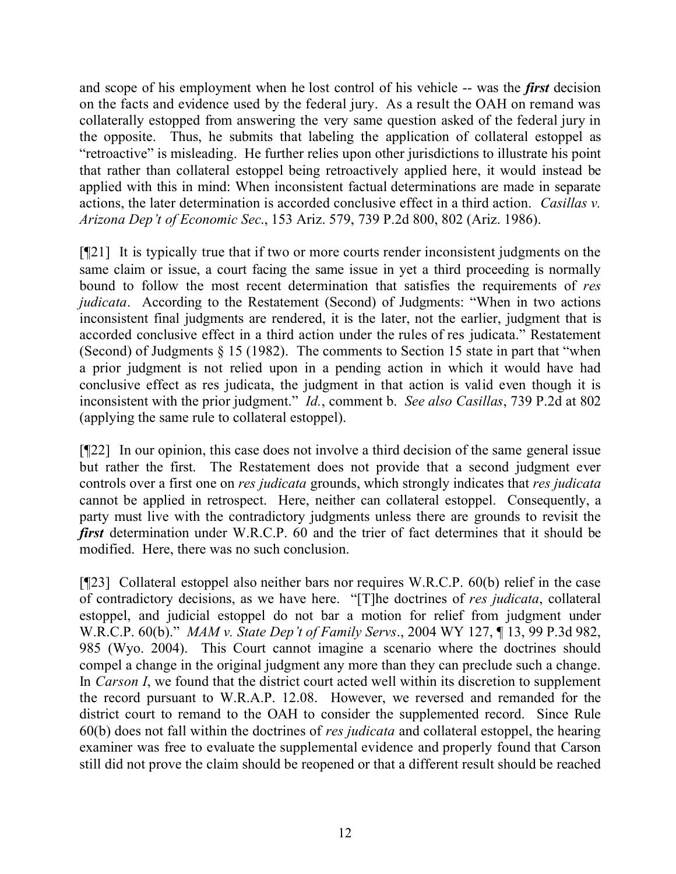and scope of his employment when he lost control of his vehicle -- was the *first* decision on the facts and evidence used by the federal jury. As a result the OAH on remand was collaterally estopped from answering the very same question asked of the federal jury in the opposite. Thus, he submits that labeling the application of collateral estoppel as "retroactive" is misleading. He further relies upon other jurisdictions to illustrate his point that rather than collateral estoppel being retroactively applied here, it would instead be applied with this in mind: When inconsistent factual determinations are made in separate actions, the later determination is accorded conclusive effect in a third action. *Casillas v. Arizona Dep't of Economic Sec*., 153 Ariz. 579, 739 P.2d 800, 802 (Ariz. 1986).

[¶21] It is typically true that if two or more courts render inconsistent judgments on the same claim or issue, a court facing the same issue in yet a third proceeding is normally bound to follow the most recent determination that satisfies the requirements of *res judicata*. According to the Restatement (Second) of Judgments: "When in two actions inconsistent final judgments are rendered, it is the later, not the earlier, judgment that is accorded conclusive effect in a third action under the rules of res judicata." Restatement (Second) of Judgments § 15 (1982). The comments to Section 15 state in part that "when a prior judgment is not relied upon in a pending action in which it would have had conclusive effect as res judicata, the judgment in that action is valid even though it is inconsistent with the prior judgment." *Id.*, comment b. *See also Casillas*, 739 P.2d at 802 (applying the same rule to collateral estoppel).

[¶22] In our opinion, this case does not involve a third decision of the same general issue but rather the first. The Restatement does not provide that a second judgment ever controls over a first one on *res judicata* grounds, which strongly indicates that *res judicata* cannot be applied in retrospect. Here, neither can collateral estoppel. Consequently, a party must live with the contradictory judgments unless there are grounds to revisit the *first* determination under W.R.C.P. 60 and the trier of fact determines that it should be modified. Here, there was no such conclusion.

[¶23] Collateral estoppel also neither bars nor requires W.R.C.P. 60(b) relief in the case of contradictory decisions, as we have here. "[T]he doctrines of *res judicata*, collateral estoppel, and judicial estoppel do not bar a motion for relief from judgment under W.R.C.P. 60(b)." *MAM v. State Dep't of Family Servs*., 2004 WY 127, ¶ 13, 99 P.3d 982, 985 (Wyo. 2004). This Court cannot imagine a scenario where the doctrines should compel a change in the original judgment any more than they can preclude such a change. In *Carson I*, we found that the district court acted well within its discretion to supplement the record pursuant to W.R.A.P. 12.08. However, we reversed and remanded for the district court to remand to the OAH to consider the supplemented record. Since Rule 60(b) does not fall within the doctrines of *res judicata* and collateral estoppel, the hearing examiner was free to evaluate the supplemental evidence and properly found that Carson still did not prove the claim should be reopened or that a different result should be reached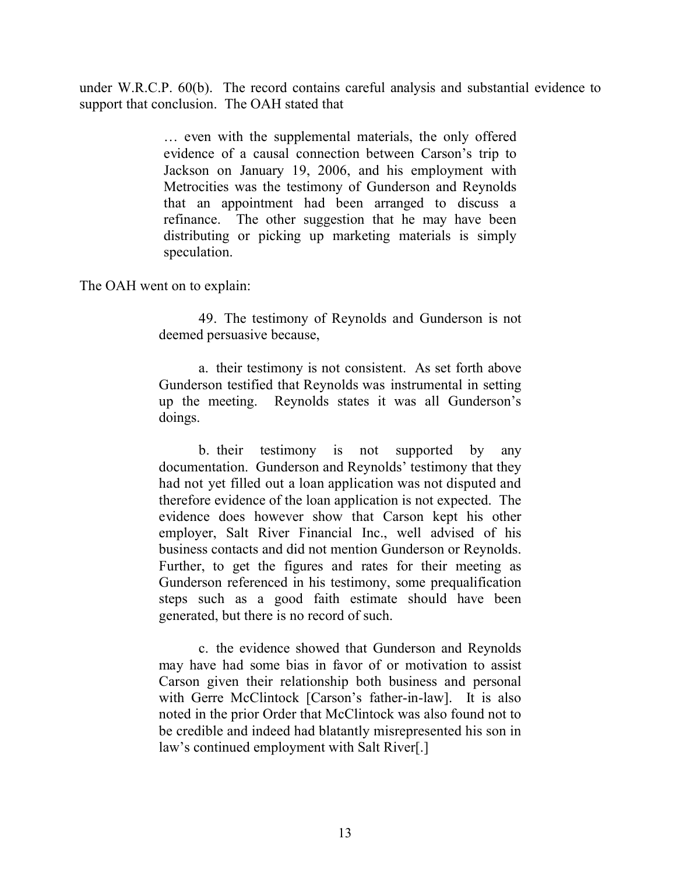under W.R.C.P. 60(b). The record contains careful analysis and substantial evidence to support that conclusion. The OAH stated that

> … even with the supplemental materials, the only offered evidence of a causal connection between Carson's trip to Jackson on January 19, 2006, and his employment with Metrocities was the testimony of Gunderson and Reynolds that an appointment had been arranged to discuss a refinance. The other suggestion that he may have been distributing or picking up marketing materials is simply speculation.

The OAH went on to explain:

49. The testimony of Reynolds and Gunderson is not deemed persuasive because,

a. their testimony is not consistent. As set forth above Gunderson testified that Reynolds was instrumental in setting up the meeting. Reynolds states it was all Gunderson's doings.

b. their testimony is not supported by any documentation. Gunderson and Reynolds' testimony that they had not yet filled out a loan application was not disputed and therefore evidence of the loan application is not expected. The evidence does however show that Carson kept his other employer, Salt River Financial Inc., well advised of his business contacts and did not mention Gunderson or Reynolds. Further, to get the figures and rates for their meeting as Gunderson referenced in his testimony, some prequalification steps such as a good faith estimate should have been generated, but there is no record of such.

c. the evidence showed that Gunderson and Reynolds may have had some bias in favor of or motivation to assist Carson given their relationship both business and personal with Gerre McClintock [Carson's father-in-law]. It is also noted in the prior Order that McClintock was also found not to be credible and indeed had blatantly misrepresented his son in law's continued employment with Salt River[.]